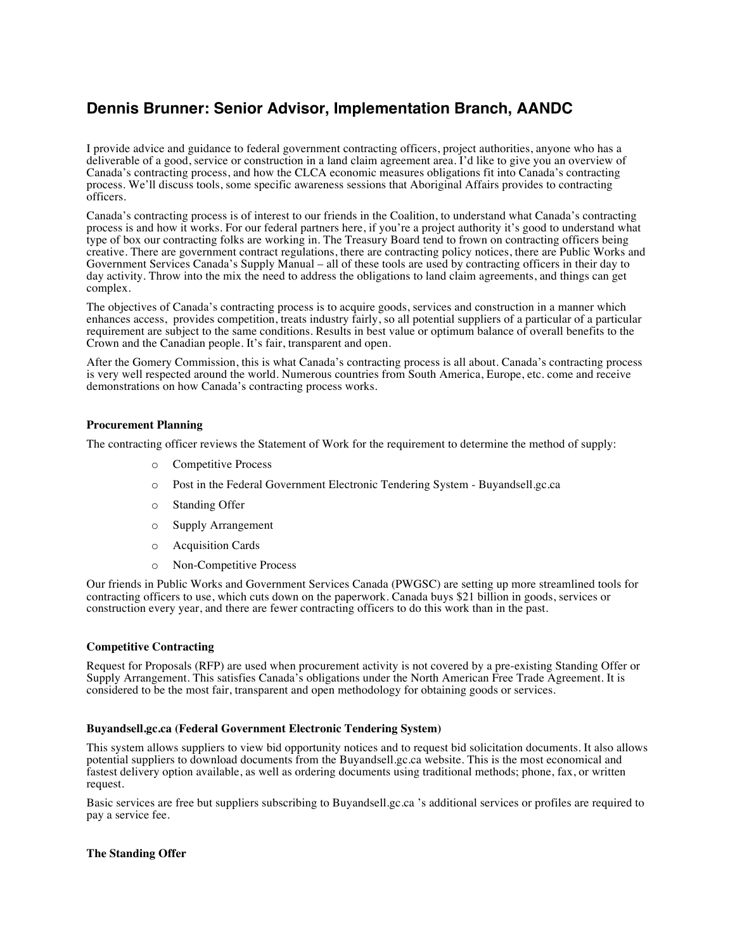# **Dennis Brunner: Senior Advisor, Implementation Branch, AANDC**

I provide advice and guidance to federal government contracting officers, project authorities, anyone who has a deliverable of a good, service or construction in a land claim agreement area. I'd like to give you an overview of Canada's contracting process, and how the CLCA economic measures obligations fit into Canada's contracting process. We'll discuss tools, some specific awareness sessions that Aboriginal Affairs provides to contracting officers.

Canada's contracting process is of interest to our friends in the Coalition, to understand what Canada's contracting process is and how it works. For our federal partners here, if you're a project authority it's good to understand what type of box our contracting folks are working in. The Treasury Board tend to frown on contracting officers being creative. There are government contract regulations, there are contracting policy notices, there are Public Works and Government Services Canada's Supply Manual – all of these tools are used by contracting officers in their day to day activity. Throw into the mix the need to address the obligations to land claim agreements, and things can get complex.

The objectives of Canada's contracting process is to acquire goods, services and construction in a manner which enhances access, provides competition, treats industry fairly, so all potential suppliers of a particular of a particular requirement are subject to the same conditions. Results in best value or optimum balance of overall benefits to the Crown and the Canadian people. It's fair, transparent and open.

After the Gomery Commission, this is what Canada's contracting process is all about. Canada's contracting process is very well respected around the world. Numerous countries from South America, Europe, etc. come and receive demonstrations on how Canada's contracting process works.

# **Procurement Planning**

The contracting officer reviews the Statement of Work for the requirement to determine the method of supply:

- o Competitive Process
- o Post in the Federal Government Electronic Tendering System Buyandsell.gc.ca
- o Standing Offer
- o Supply Arrangement
- o Acquisition Cards
- o Non-Competitive Process

Our friends in Public Works and Government Services Canada (PWGSC) are setting up more streamlined tools for contracting officers to use, which cuts down on the paperwork. Canada buys \$21 billion in goods, services or construction every year, and there are fewer contracting officers to do this work than in the past.

# **Competitive Contracting**

Request for Proposals (RFP) are used when procurement activity is not covered by a pre-existing Standing Offer or Supply Arrangement. This satisfies Canada's obligations under the North American Free Trade Agreement. It is considered to be the most fair, transparent and open methodology for obtaining goods or services.

#### **Buyandsell.gc.ca (Federal Government Electronic Tendering System)**

This system allows suppliers to view bid opportunity notices and to request bid solicitation documents. It also allows potential suppliers to download documents from the Buyandsell.gc.ca website. This is the most economical and fastest delivery option available, as well as ordering documents using traditional methods; phone, fax, or written request.

Basic services are free but suppliers subscribing to Buyandsell.gc.ca 's additional services or profiles are required to pay a service fee.

# **The Standing Offer**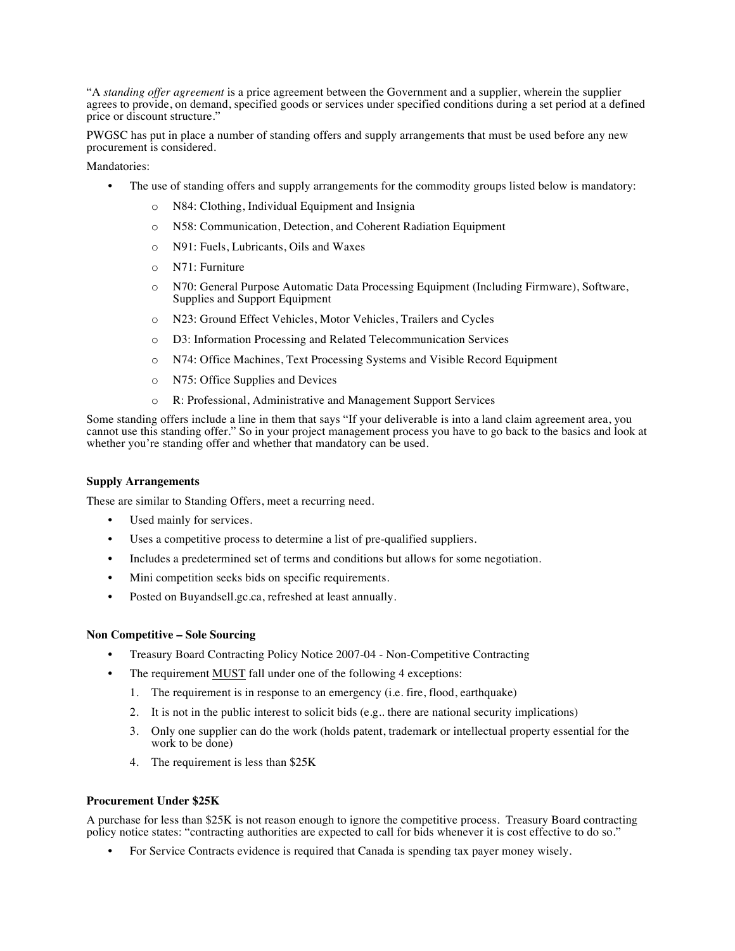"A *standing offer agreement* is a price agreement between the Government and a supplier, wherein the supplier agrees to provide, on demand, specified goods or services under specified conditions during a set period at a defined price or discount structure."

PWGSC has put in place a number of standing offers and supply arrangements that must be used before any new procurement is considered.

Mandatories:

- The use of standing offers and supply arrangements for the commodity groups listed below is mandatory:
	- o N84: Clothing, Individual Equipment and Insignia
	- o N58: Communication, Detection, and Coherent Radiation Equipment
	- o N91: Fuels, Lubricants, Oils and Waxes
	- o N71: Furniture
	- o N70: General Purpose Automatic Data Processing Equipment (Including Firmware), Software, Supplies and Support Equipment
	- o N23: Ground Effect Vehicles, Motor Vehicles, Trailers and Cycles
	- o D3: Information Processing and Related Telecommunication Services
	- o N74: Office Machines, Text Processing Systems and Visible Record Equipment
	- o N75: Office Supplies and Devices
	- o R: Professional, Administrative and Management Support Services

Some standing offers include a line in them that says "If your deliverable is into a land claim agreement area, you cannot use this standing offer." So in your project management process you have to go back to the basics and look at whether you're standing offer and whether that mandatory can be used.

### **Supply Arrangements**

These are similar to Standing Offers, meet a recurring need.

- Used mainly for services.
- Uses a competitive process to determine a list of pre-qualified suppliers.
- Includes a predetermined set of terms and conditions but allows for some negotiation.
- Mini competition seeks bids on specific requirements.
- Posted on Buyandsell.gc.ca, refreshed at least annually.

#### **Non Competitive – Sole Sourcing**

- Treasury Board Contracting Policy Notice 2007-04 Non-Competitive Contracting
- The requirement MUST fall under one of the following 4 exceptions:
	- 1. The requirement is in response to an emergency (i.e. fire, flood, earthquake)
	- 2. It is not in the public interest to solicit bids (e.g.. there are national security implications)
	- 3. Only one supplier can do the work (holds patent, trademark or intellectual property essential for the work to be done)
	- 4. The requirement is less than \$25K

#### **Procurement Under \$25K**

A purchase for less than \$25K is not reason enough to ignore the competitive process. Treasury Board contracting policy notice states: "contracting authorities are expected to call for bids whenever it is cost effective to do so."

• For Service Contracts evidence is required that Canada is spending tax payer money wisely.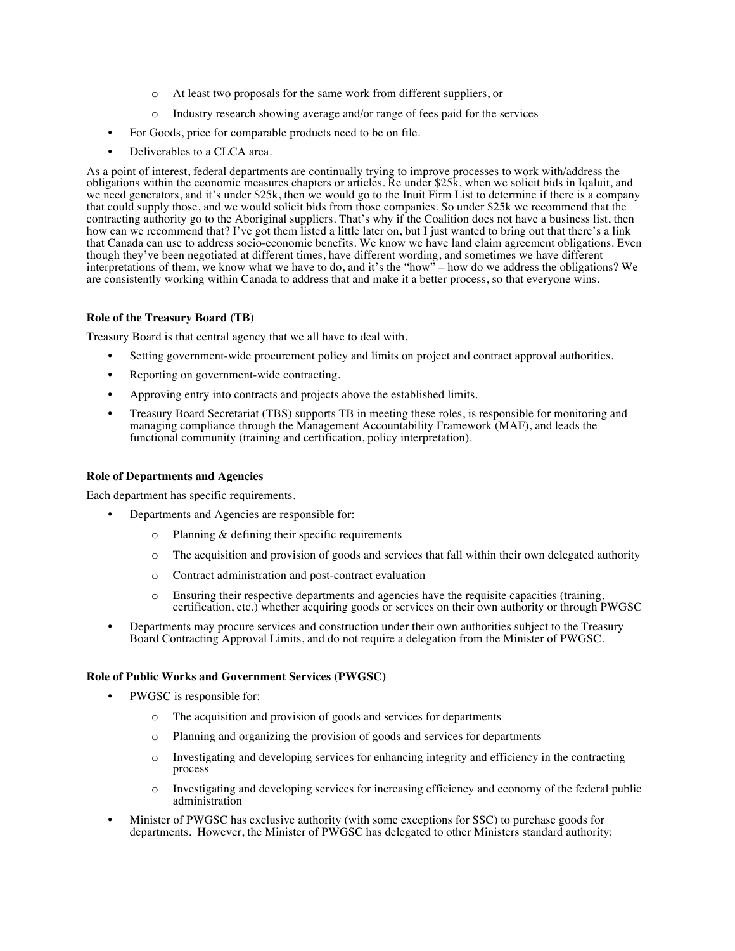- o At least two proposals for the same work from different suppliers, or
- $\circ$  Industry research showing average and/or range of fees paid for the services
- For Goods, price for comparable products need to be on file.
- Deliverables to a CLCA area.

As a point of interest, federal departments are continually trying to improve processes to work with/address the obligations within the economic measures chapters or articles. Re under \$25k, when we solicit bids in Iqaluit, and we need generators, and it's under \$25k, then we would go to the Inuit Firm List to determine if there is a company that could supply those, and we would solicit bids from those companies. So under \$25k we recommend that the contracting authority go to the Aboriginal suppliers. That's why if the Coalition does not have a business list, then how can we recommend that? I've got them listed a little later on, but I just wanted to bring out that there's a link that Canada can use to address socio-economic benefits. We know we have land claim agreement obligations. Even though they've been negotiated at different times, have different wording, and sometimes we have different interpretations of them, we know what we have to do, and it's the "how" – how do we address the obligations? We are consistently working within Canada to address that and make it a better process, so that everyone wins.

# **Role of the Treasury Board (TB)**

Treasury Board is that central agency that we all have to deal with.

- Setting government-wide procurement policy and limits on project and contract approval authorities.
- Reporting on government-wide contracting.
- Approving entry into contracts and projects above the established limits.
- Treasury Board Secretariat (TBS) supports TB in meeting these roles, is responsible for monitoring and managing compliance through the Management Accountability Framework (MAF), and leads the functional community (training and certification, policy interpretation).

# **Role of Departments and Agencies**

Each department has specific requirements.

- Departments and Agencies are responsible for:
	- o Planning & defining their specific requirements
	- o The acquisition and provision of goods and services that fall within their own delegated authority
	- o Contract administration and post-contract evaluation
	- o Ensuring their respective departments and agencies have the requisite capacities (training, certification, etc.) whether acquiring goods or services on their own authority or through PWGSC
- Departments may procure services and construction under their own authorities subject to the Treasury Board Contracting Approval Limits, and do not require a delegation from the Minister of PWGSC.

# **Role of Public Works and Government Services (PWGSC)**

- PWGSC is responsible for:
	- o The acquisition and provision of goods and services for departments
	- o Planning and organizing the provision of goods and services for departments
	- o Investigating and developing services for enhancing integrity and efficiency in the contracting process
	- o Investigating and developing services for increasing efficiency and economy of the federal public administration
- Minister of PWGSC has exclusive authority (with some exceptions for SSC) to purchase goods for departments. However, the Minister of PWGSC has delegated to other Ministers standard authority: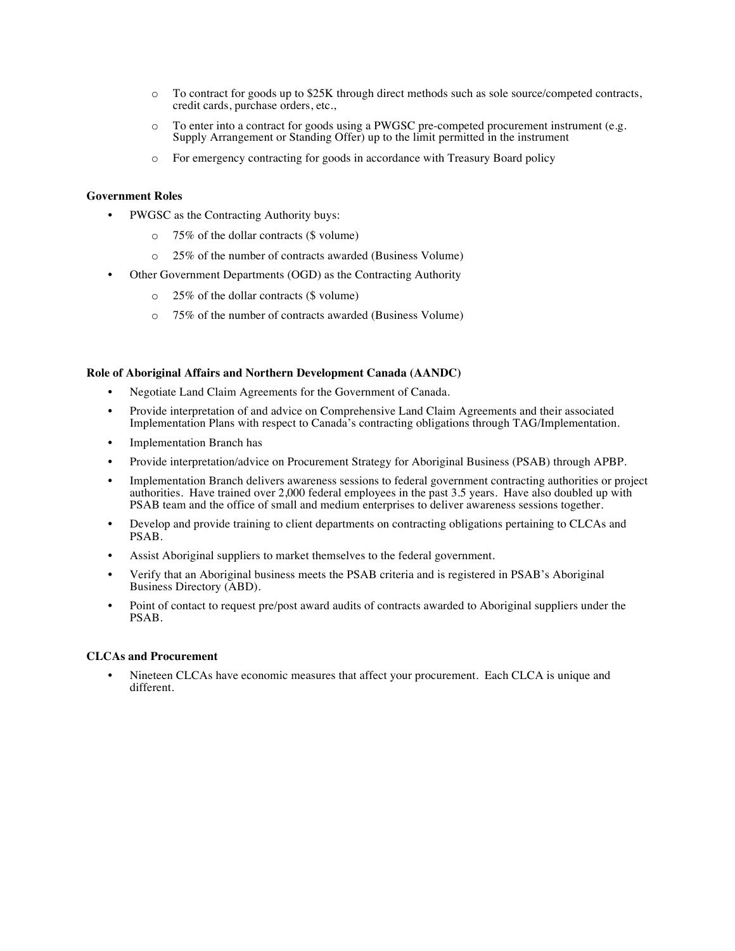- o To contract for goods up to \$25K through direct methods such as sole source/competed contracts, credit cards, purchase orders, etc.,
- o To enter into a contract for goods using a PWGSC pre-competed procurement instrument (e.g. Supply Arrangement or Standing Offer) up to the limit permitted in the instrument
- o For emergency contracting for goods in accordance with Treasury Board policy

# **Government Roles**

- PWGSC as the Contracting Authority buys:
	- o 75% of the dollar contracts (\$ volume)
	- o 25% of the number of contracts awarded (Business Volume)
- Other Government Departments (OGD) as the Contracting Authority
	- o 25% of the dollar contracts (\$ volume)
	- o 75% of the number of contracts awarded (Business Volume)

#### **Role of Aboriginal Affairs and Northern Development Canada (AANDC)**

- Negotiate Land Claim Agreements for the Government of Canada.
- Provide interpretation of and advice on Comprehensive Land Claim Agreements and their associated Implementation Plans with respect to Canada's contracting obligations through TAG/Implementation.
- **Implementation Branch has**
- Provide interpretation/advice on Procurement Strategy for Aboriginal Business (PSAB) through APBP.
- Implementation Branch delivers awareness sessions to federal government contracting authorities or project authorities. Have trained over 2,000 federal employees in the past 3.5 years. Have also doubled up with PSAB team and the office of small and medium enterprises to deliver awareness sessions together.
- Develop and provide training to client departments on contracting obligations pertaining to CLCAs and PSAB.
- Assist Aboriginal suppliers to market themselves to the federal government.
- Verify that an Aboriginal business meets the PSAB criteria and is registered in PSAB's Aboriginal Business Directory (ABD).
- Point of contact to request pre/post award audits of contracts awarded to Aboriginal suppliers under the PSAB.

#### **CLCAs and Procurement**

• Nineteen CLCAs have economic measures that affect your procurement. Each CLCA is unique and different.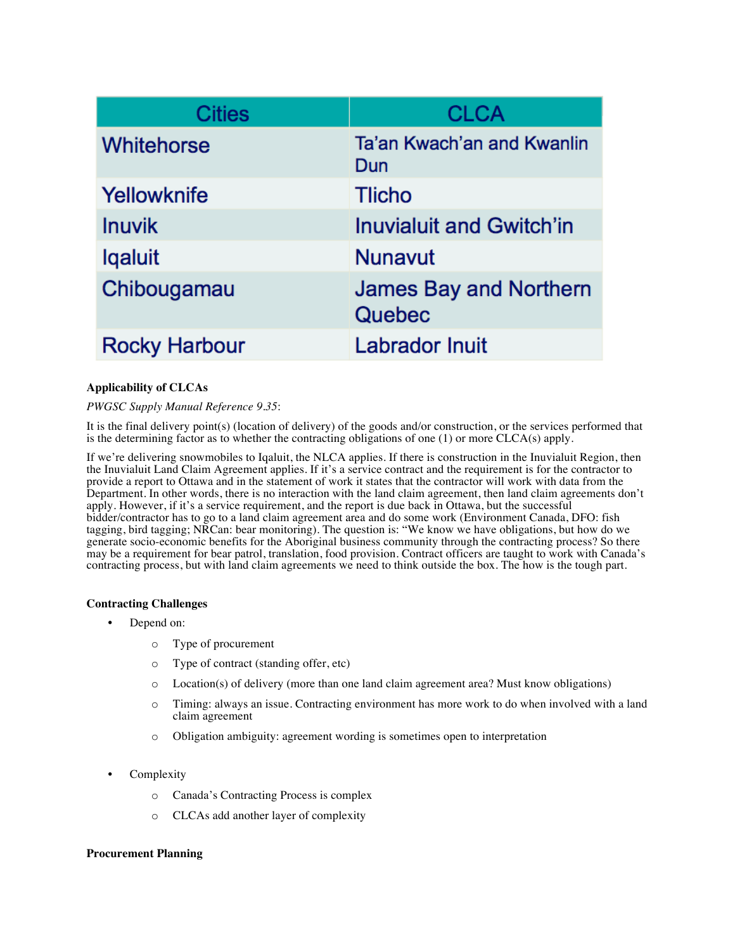| <b>Cities</b>        | <b>CLCA</b>                             |
|----------------------|-----------------------------------------|
| <b>Whitehorse</b>    | Ta'an Kwach'an and Kwanlin<br>Dun       |
| Yellowknife          | <b>Tlicho</b>                           |
| <b>Inuvik</b>        | <b>Inuvialuit and Gwitch'in</b>         |
| <b>Igaluit</b>       | <b>Nunavut</b>                          |
| Chibougamau          | <b>James Bay and Northern</b><br>Quebec |
| <b>Rocky Harbour</b> | <b>Labrador Inuit</b>                   |

# **Applicability of CLCAs**

# *PWGSC Supply Manual Reference 9.35*:

It is the final delivery point(s) (location of delivery) of the goods and/or construction, or the services performed that is the determining factor as to whether the contracting obligations of one  $(1)$  or more CLCA(s) apply.

If we're delivering snowmobiles to Iqaluit, the NLCA applies. If there is construction in the Inuvialuit Region, then the Inuvialuit Land Claim Agreement applies. If it's a service contract and the requirement is for the contractor to provide a report to Ottawa and in the statement of work it states that the contractor will work with data from the Department. In other words, there is no interaction with the land claim agreement, then land claim agreements don't apply. However, if it's a service requirement, and the report is due back in Ottawa, but the successful bidder/contractor has to go to a land claim agreement area and do some work (Environment Canada, DFO: fish tagging, bird tagging; NRCan: bear monitoring). The question is: "We know we have obligations, but how do we generate socio-economic benefits for the Aboriginal business community through the contracting process? So there may be a requirement for bear patrol, translation, food provision. Contract officers are taught to work with Canada's contracting process, but with land claim agreements we need to think outside the box. The how is the tough part.

# **Contracting Challenges**

- Depend on:
	- o Type of procurement
	- o Type of contract (standing offer, etc)
	- o Location(s) of delivery (more than one land claim agreement area? Must know obligations)
	- o Timing: always an issue. Contracting environment has more work to do when involved with a land claim agreement
	- o Obligation ambiguity: agreement wording is sometimes open to interpretation
- **Complexity** 
	- o Canada's Contracting Process is complex
	- o CLCAs add another layer of complexity

# **Procurement Planning**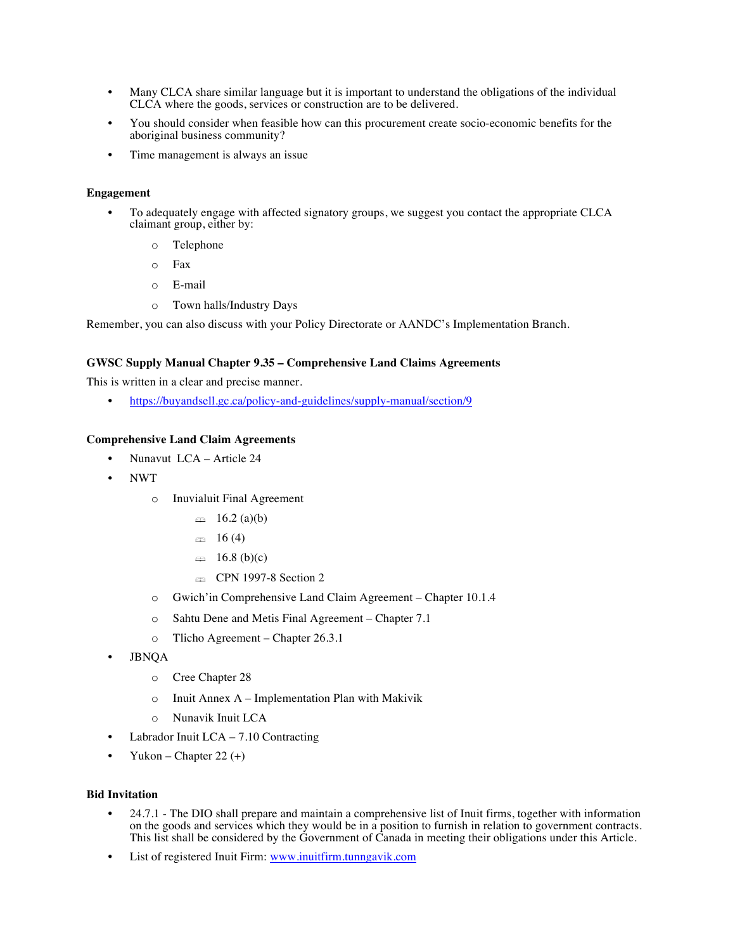- Many CLCA share similar language but it is important to understand the obligations of the individual CLCA where the goods, services or construction are to be delivered.
- You should consider when feasible how can this procurement create socio-economic benefits for the aboriginal business community?
- Time management is always an issue

# **Engagement**

- To adequately engage with affected signatory groups, we suggest you contact the appropriate CLCA claimant group, either by:
	- o Telephone
	- o Fax
	- o E-mail
	- o Town halls/Industry Days

Remember, you can also discuss with your Policy Directorate or AANDC's Implementation Branch.

# **GWSC Supply Manual Chapter 9.35 – Comprehensive Land Claims Agreements**

This is written in a clear and precise manner.

• https://buyandsell.gc.ca/policy-and-guidelines/supply-manual/section/9

# **Comprehensive Land Claim Agreements**

- Nunavut LCA Article 24
- NWT
	- o Inuvialuit Final Agreement
		- $\implies$  16.2 (a)(b)
		- $\approx 16(4)$
		- $\implies$  16.8 (b)(c)
		- **Example 1997-8 Section 2**
	- o Gwich'in Comprehensive Land Claim Agreement Chapter 10.1.4
	- o Sahtu Dene and Metis Final Agreement Chapter 7.1
	- o Tlicho Agreement Chapter 26.3.1
- JBNQA
	- o Cree Chapter 28
	- o Inuit Annex A Implementation Plan with Makivik
	- o Nunavik Inuit LCA
- Labrador Inuit  $LCA 7.10$  Contracting
- Yukon Chapter 22 $(+)$

# **Bid Invitation**

- 24.7.1 The DIO shall prepare and maintain a comprehensive list of Inuit firms, together with information on the goods and services which they would be in a position to furnish in relation to government contracts. This list shall be considered by the Government of Canada in meeting their obligations under this Article.
- List of registered Inuit Firm: www.inuitfirm.tunngavik.com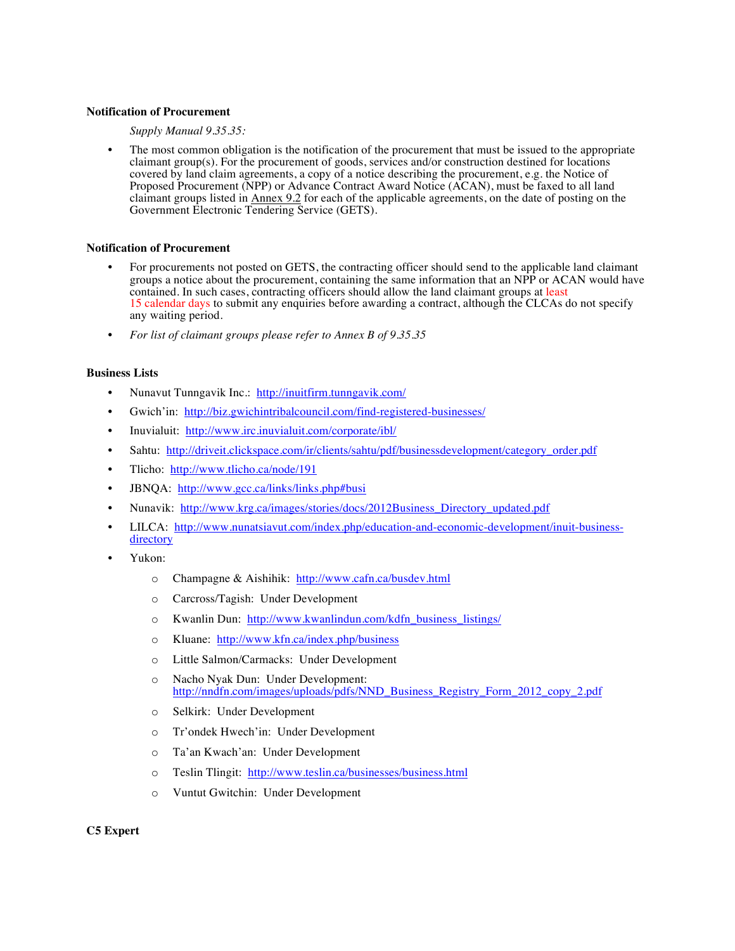# **Notification of Procurement**

## *Supply Manual 9.35.35:*

The most common obligation is the notification of the procurement that must be issued to the appropriate claimant group(s). For the procurement of goods, services and/or construction destined for locations covered by land claim agreements, a copy of a notice describing the procurement, e.g. the Notice of Proposed Procurement (NPP) or Advance Contract Award Notice (ACAN), must be faxed to all land claimant groups listed in Annex 9.2 for each of the applicable agreements, on the date of posting on the Government Electronic Tendering Service (GETS).

### **Notification of Procurement**

- For procurements not posted on GETS, the contracting officer should send to the applicable land claimant groups a notice about the procurement, containing the same information that an NPP or ACAN would have contained. In such cases, contracting officers should allow the land claimant groups at least 15 calendar days to submit any enquiries before awarding a contract, although the CLCAs do not specify any waiting period.
- *For list of claimant groups please refer to Annex B of 9.35.35*

### **Business Lists**

- Nunavut Tunngavik Inc.: http://inuitfirm.tunngavik.com/
- Gwich'in: http://biz.gwichintribalcouncil.com/find-registered-businesses/
- Inuvialuit: http://www.irc.inuvialuit.com/corporate/ibl/
- Sahtu: http://driveit.clickspace.com/ir/clients/sahtu/pdf/businessdevelopment/category\_order.pdf
- Tlicho: http://www.tlicho.ca/node/191
- JBNQA: http://www.gcc.ca/links/links.php#busi
- Nunavik: http://www.krg.ca/images/stories/docs/2012Business\_Directory\_updated.pdf
- LILCA: http://www.nunatsiavut.com/index.php/education-and-economic-development/inuit-businessdirectory
- Yukon:
	- o Champagne & Aishihik: http://www.cafn.ca/busdev.html
	- o Carcross/Tagish: Under Development
	- o Kwanlin Dun: http://www.kwanlindun.com/kdfn\_business\_listings/
	- o Kluane: http://www.kfn.ca/index.php/business
	- o Little Salmon/Carmacks: Under Development
	- o Nacho Nyak Dun: Under Development: http://nndfn.com/images/uploads/pdfs/NND\_Business\_Registry\_Form\_2012\_copy\_2.pdf
	- o Selkirk: Under Development
	- o Tr'ondek Hwech'in: Under Development
	- o Ta'an Kwach'an: Under Development
	- o Teslin Tlingit: http://www.teslin.ca/businesses/business.html
	- o Vuntut Gwitchin: Under Development

## **C5 Expert**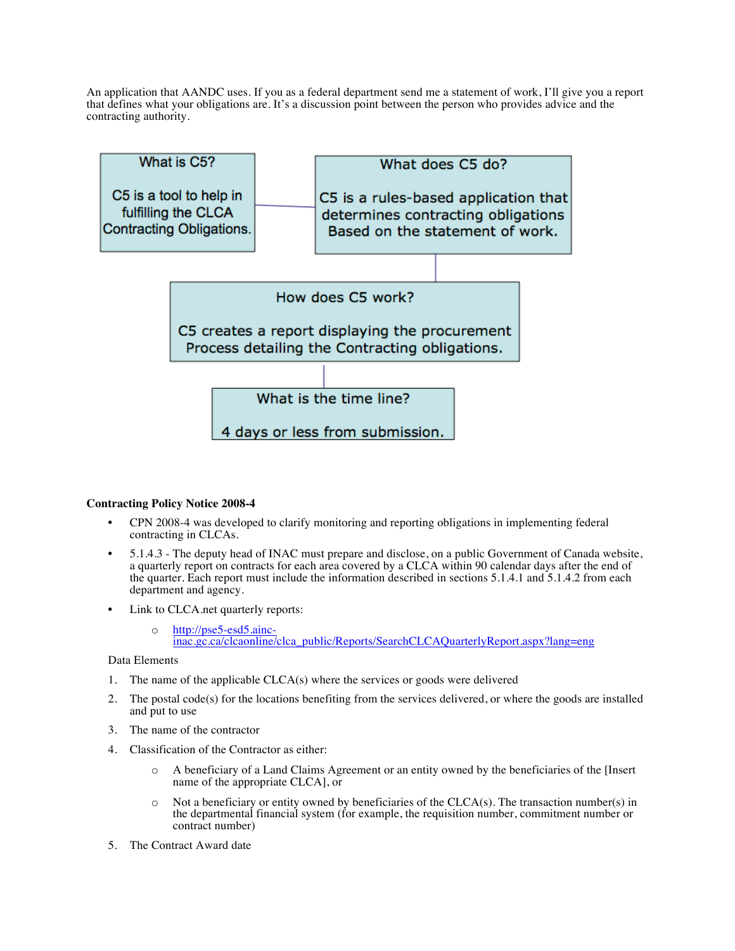An application that AANDC uses. If you as a federal department send me a statement of work, I'll give you a report that defines what your obligations are. It's a discussion point between the person who provides advice and the contracting authority.



# **Contracting Policy Notice 2008-4**

- CPN 2008-4 was developed to clarify monitoring and reporting obligations in implementing federal contracting in CLCAs.
- 5.1.4.3 The deputy head of INAC must prepare and disclose, on a public Government of Canada website, a quarterly report on contracts for each area covered by a CLCA within 90 calendar days after the end of the quarter. Each report must include the information described in sections 5.1.4.1 and 5.1.4.2 from each department and agency.
- Link to CLCA.net quarterly reports:
	- <sup>o</sup> http://pse5-esd5.ainc- inac.gc.ca/clcaonline/clca\_public/Reports/SearchCLCAQuarterlyReport.aspx?lang=eng

# Data Elements

- 1. The name of the applicable CLCA(s) where the services or goods were delivered
- 2. The postal code(s) for the locations benefiting from the services delivered, or where the goods are installed and put to use
- 3. The name of the contractor
- 4. Classification of the Contractor as either:
	- o A beneficiary of a Land Claims Agreement or an entity owned by the beneficiaries of the [Insert name of the appropriate CLCA], or
	- $\circ$  Not a beneficiary or entity owned by beneficiaries of the CLCA(s). The transaction number(s) in the departmental financial system (for example, the requisition number, commitment number or contract number)
- 5. The Contract Award date